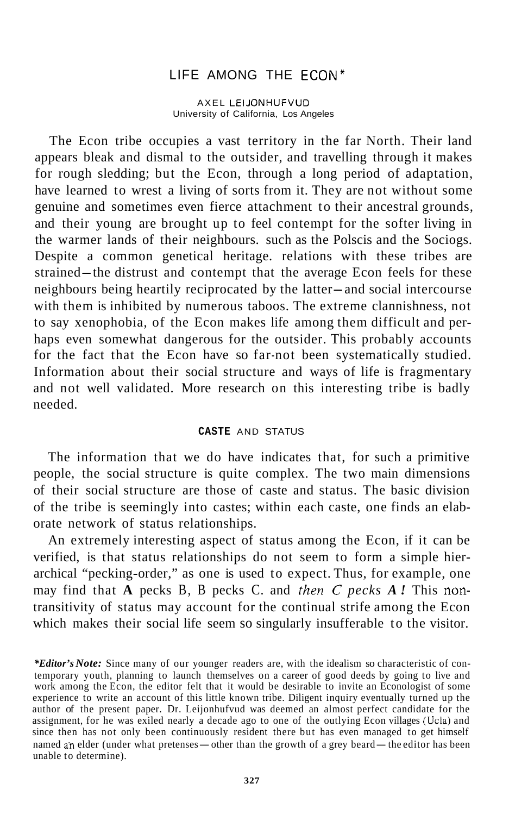# LIFE AMONG THE ECON"

#### AXEL LEIJONHUFVUD University of California, Los Angeles

The Econ tribe occupies a vast territory in the far North. Their land appears bleak and dismal to the outsider, and travelling through it makes for rough sledding; but the Econ, through a long period of adaptation, have learned to wrest a living of sorts from it. They are not without some genuine and sometimes even fierce attachment to their ancestral grounds, and their young are brought up to feel contempt for the softer living in the warmer lands of their neighbours. such as the Polscis and the Sociogs. Despite a common genetical heritage. relations with these tribes are strained-the distrust and contempt that the average Econ feels for these neighbours being heartily reciprocated by the latter-and social intercourse with them is inhibited by numerous taboos. The extreme clannishness, not to say xenophobia, of the Econ makes life among them difficult and perhaps even somewhat dangerous for the outsider. This probably accounts for the fact that the Econ have so far-not been systematically studied. Information about their social structure and ways of life is fragmentary and not well validated. More research on this interesting tribe is badly needed.

#### **CASTE** AND STATUS

The information that we do have indicates that, for such a primitive people, the social structure is quite complex. The two main dimensions of their social structure are those of caste and status. The basic division of the tribe is seemingly into castes; within each caste, one finds an elaborate network of status relationships.

An extremely interesting aspect of status among the Econ, if it can be verified, is that status relationships do not seem to form a simple hierarchical "pecking-order," as one is used to expect. Thus, for example, one may find that **A** pecks B, B pecks C. and *then C pecks A!* This nontransitivity of status may account for the continual strife among the Econ which makes their social life seem so singularly insufferable to the visitor.

*<sup>\*</sup>Editor's Note:* Since many of our younger readers are, with the idealism so characteristic of contemporary youth, planning to launch themselves on a career of good deeds by going to live and work among the Econ, the editor felt that it would be desirable to invite an Econologist of some experience to write an account of this little known tribe. Diligent inquiry eventually turned up the author of the present paper. Dr. Leijonhufvud was deemed an almost perfect candidate for the assignment, for he was exiled nearly a decade ago to one of the outlying Econ villages (Ucla) and assignment, for ne was exited nearly a decade ago to one of the outlying Econ vinages (Ocia) and<br>since then has not only been continuously resident there but has even managed to get himself<br>named an elder (under what prete unable to determine).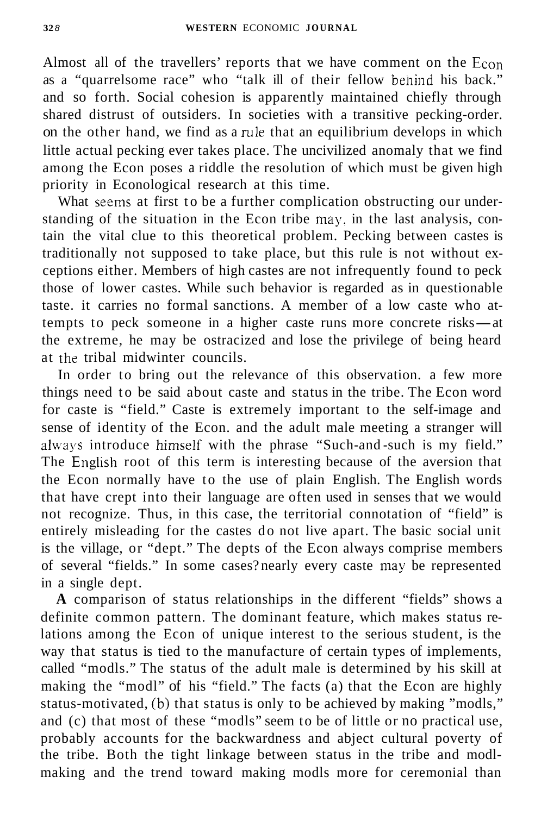Almost all of the travellers' reports that we have comment on the Econ as a "quarrelsome race" who "talk ill of their fellow behind his back." and so forth. Social cohesion is apparently maintained chiefly through shared distrust of outsiders. In societies with a transitive pecking-order. on the other hand, we find as a rule that an equilibrium develops in which little actual pecking ever takes place. The uncivilized anomaly that we find among the Econ poses a riddle the resolution of which must be given high priority in Econological research at this time.

What seems at first to be a further complication obstructing our understanding of the situation in the Econ tribe may. in the last analysis, contain the vital clue to this theoretical problem. Pecking between castes is traditionally not supposed to take place, but this rule is not without exceptions either. Members of high castes are not infrequently found to peck those of lower castes. While such behavior is regarded as in questionable taste. it carries no formal sanctions. A member of a low caste who attempts to peck someone in a higher caste runs more concrete risks-at the extreme, he may be ostracized and lose the privilege of being heard at the tribal midwinter councils.

In order to bring out the relevance of this observation. a few more things need to be said about caste and status in the tribe. The Econ word for caste is "field." Caste is extremely important to the self-image and sense of identity of the Econ. and the adult male meeting a stranger will always introduce himself with the phrase "Such-and-such is my field." The English root of this term is interesting because of the aversion that the Econ normally have to the use of plain English. The English words that have crept into their language are often used in senses that we would not recognize. Thus, in this case, the territorial connotation of "field" is entirely misleading for the castes do not live apart. The basic social unit is the village, or "dept." The depts of the Econ always comprise members of several "fields." In some cases? nearly every caste may be represented in a single dept.

**A** comparison of status relationships in the different "fields" shows a definite common pattern. The dominant feature, which makes status relations among the Econ of unique interest to the serious student, is the way that status is tied to the manufacture of certain types of implements, called "modls." The status of the adult male is determined by his skill at making the "modl" of his "field." The facts (a) that the Econ are highly status-motivated, (b) that status is only to be achieved by making "modls," and (c) that most of these "modls" seem to be of little or no practical use, probably accounts for the backwardness and abject cultural poverty of the tribe. Both the tight linkage between status in the tribe and modlmaking and the trend toward making modls more for ceremonial than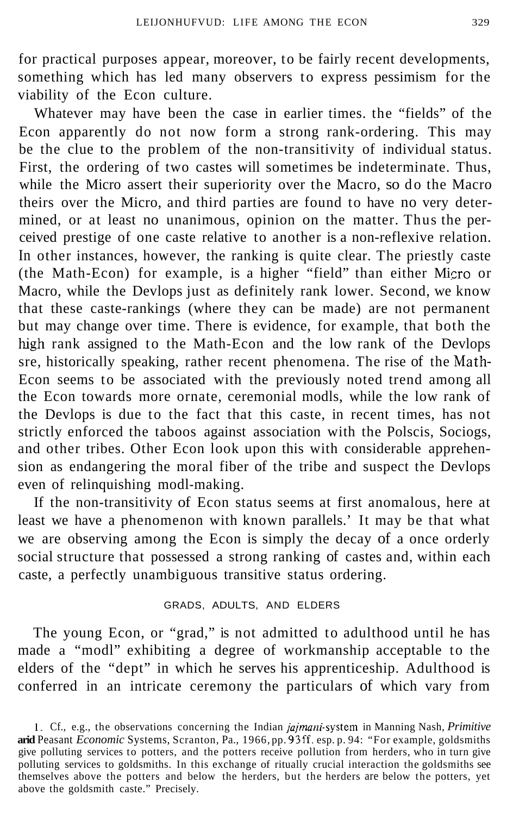for practical purposes appear, moreover, to be fairly recent developments, something which has led many observers to express pessimism for the viability of the Econ culture.

Whatever may have been the case in earlier times. the "fields" of the Econ apparently do not now form a strong rank-ordering. This may be the clue to the problem of the non-transitivity of individual status. First, the ordering of two castes will sometimes be indeterminate. Thus, while the Micro assert their superiority over the Macro, so do the Macro theirs over the Micro, and third parties are found to have no very determined, or at least no unanimous, opinion on the matter. Thus the perceived prestige of one caste relative to another is a non-reflexive relation. In other instances, however, the ranking is quite clear. The priestly caste (the Math-Econ) for example, is a higher "field" than either Micro or Macro, while the Devlops just as definitely rank lower. Second, we know that these caste-rankings (where they can be made) are not permanent but may change over time. There is evidence, for example, that both the hgh rank assigned to the Math-Econ and the low rank of the Devlops sre, historically speaking, rather recent phenomena. The rise of the Math-Econ seems to be associated with the previously noted trend among all the Econ towards more ornate, ceremonial modls, while the low rank of the Devlops is due to the fact that this caste, in recent times, has not strictly enforced the taboos against association with the Polscis, Sociogs, and other tribes. Other Econ look upon this with considerable apprehension as endangering the moral fiber of the tribe and suspect the Devlops even of relinquishing modl-making.

If the non-transitivity of Econ status seems at first anomalous, here at least we have a phenomenon with known parallels.' It may be that what we are observing among the Econ is simply the decay of a once orderly social structure that possessed a strong ranking of castes and, within each caste, a perfectly unambiguous transitive status ordering.

## GRADS, ADULTS, AND ELDERS

The young Econ, or "grad," is not admitted to adulthood until he has made a "modl" exhibiting a degree of workmanship acceptable to the elders of the "dept" in which he serves his apprenticeship. Adulthood is conferred in an intricate ceremony the particulars of which vary from

1. Cf., e.g., the observations concerning the Indian jajmani-system in Manning Nash, *Primitive*  **arid** Peasant *Economic* Systems, Scranton, Pa., 1966, pp. 93ff. esp. p. 94: "For example, goldsmiths give polluting services to potters, and the potters receive pollution from herders, who in turn give polluting services to goldsmiths. In this exchange of ritually crucial interaction the goldsmiths see themselves above the potters and below the herders, but the herders are below the potters, yet above the goldsmith caste." Precisely.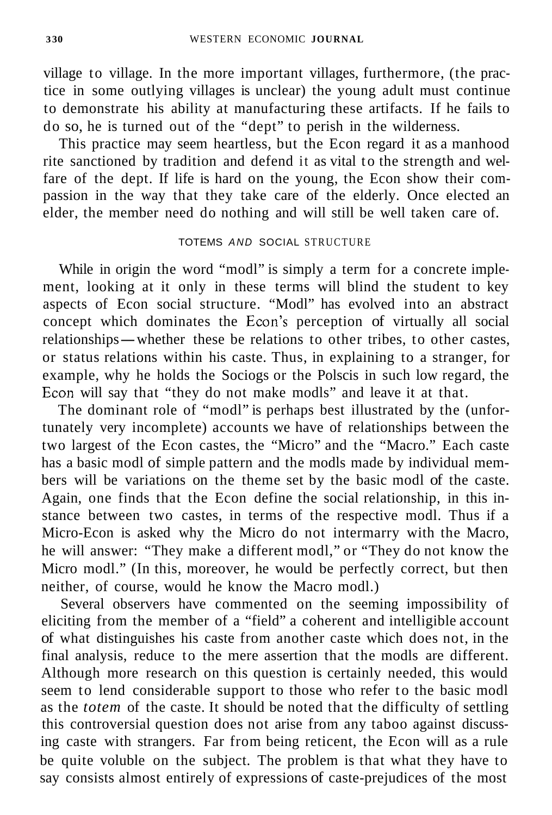village to village. In the more important villages, furthermore, (the practice in some outlying villages is unclear) the young adult must continue to demonstrate his ability at manufacturing these artifacts. If he fails to do so, he is turned out of the "dept" to perish in the wilderness.

This practice may seem heartless, but the Econ regard it as a manhood rite sanctioned by tradition and defend it as vital to the strength and welfare of the dept. If life is hard on the young, the Econ show their compassion in the way that they take care of the elderly. Once elected an elder, the member need do nothing and will still be well taken care of.

## TOTEMS *AND* SOCIAL STRUCTURE

While in origin the word "modl" is simply a term for a concrete implement, looking at it only in these terms will blind the student to key aspects of Econ social structure. "Modl" has evolved into an abstract aspects of Econ social structure. Modi has evolved filto an abstract concept which dominates the Econ's perception of virtually all social relationships—whether these be relations to other tribes, to other castes, or status relations within his caste. Thus, in explaining to a stranger, for example, why he holds the Sociogs or the Polscis in such low regard, the Econ will say that "they do not make modls" and leave it at that.

The dominant role of "modl" is perhaps best illustrated by the (unfortunately very incomplete) accounts we have of relationships between the two largest of the Econ castes, the "Micro" and the "Macro." Each caste has a basic modl of simple pattern and the modls made by individual members will be variations on the theme set by the basic modl of the caste. Again, one finds that the Econ define the social relationship, in this instance between two castes, in terms of the respective modl. Thus if a Micro-Econ is asked why the Micro do not intermarry with the Macro, he will answer: "They make a different modl," or "They do not know the Micro modl." (In this, moreover, he would be perfectly correct, but then neither, of course, would he know the Macro modl.)

Several observers have commented on the seeming impossibility of eliciting from the member of a "field" a coherent and intelligible account of what distinguishes his caste from another caste which does not, in the final analysis, reduce to the mere assertion that the modls are different. Although more research on this question is certainly needed, this would seem to lend considerable support to those who refer to the basic modl as the *totem* of the caste. It should be noted that the difficulty of settling this controversial question does not arise from any taboo against discussing caste with strangers. Far from being reticent, the Econ will as a rule be quite voluble on the subject. The problem is that what they have to say consists almost entirely of expressions of caste-prejudices of the most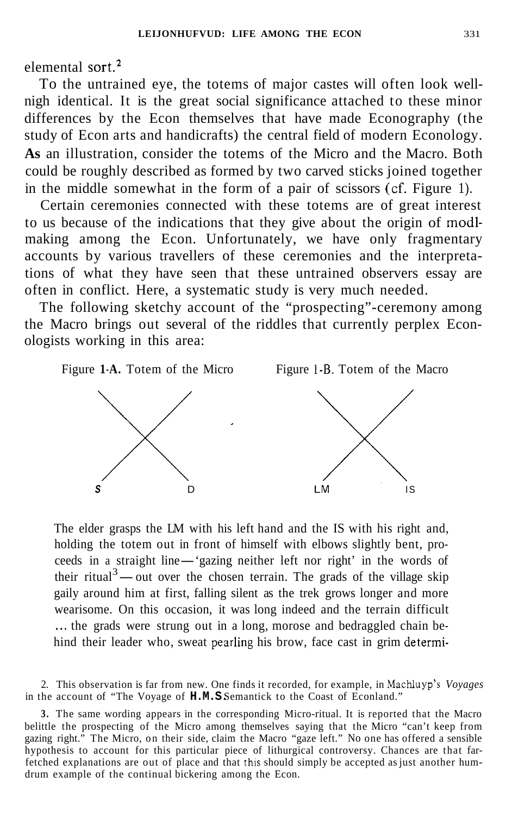elemental sort.<sup>2</sup>

To the untrained eye, the totems of major castes will often look wellnigh identical. It is the great social significance attached to these minor differences by the Econ themselves that have made Econography (the study of Econ arts and handicrafts) the central field of modern Econology. **As** an illustration, consider the totems of the Micro and the Macro. Both could be roughly described as formed by two carved sticks joined together in the middle somewhat in the form of a pair of scissors (cf. Figure 1).

Certain ceremonies connected with these totems are of great interest to us because of the indications that they give about the origin of modlmaking among the Econ. Unfortunately, we have only fragmentary accounts by various travellers of these ceremonies and the interpretations of what they have seen that these untrained observers essay are often in conflict. Here, a systematic study is very much needed.

The following sketchy account of the "prospecting"-ceremony among the Macro brings out several of the riddles that currently perplex Econologists working in this area:

Figure 1.A. Totem of the Micro Figure 1.B. Totem of the Macro





The elder grasps the LM with his left hand and the IS with his right and, holding the totem out in front of himself with elbows slightly bent, pro-The eider grasps the LM with his left hand and the 1S with his right and,<br>holding the totem out in front of himself with elbows slightly bent, pro-<br>ceeds in a straight line—'gazing neither left nor right' in the words of their ritual<sup>3</sup> — out over the chosen terrain. The grads of the village skip totem out in front of himself with elbows slightly bent, pro-<br>straight line— 'gazing neither left nor right' in the words of<br>— out over the chosen terrain. The grads of the village skip gaily around him at first, falling silent as the trek grows longer and more wearisome. On this occasion, it was long indeed and the terrain difficult ... the grads were strung out in a long, morose and bedraggled chain behind their leader who, sweat pearling his brow, face cast in grim determi-

2. This observation is far from new. One finds it recorded, for example, in MacNuyp's *Voyages*  in the account of "The Voyage of H.M.S. Semantick to the Coast of Econland."

**3.** The same wording appears in the corresponding Micro-ritual. It is reported that the Macro belittle the prospecting of the Micro among themselves saying that the Micro "can't keep from gazing right." The Micro, on their side, claim the Macro "gaze left." No one has offered a sensible hypothesis to account for this particular piece of lithurgical controversy. Chances are that farfetched explanations are out of place and that this should simply be accepted as just another humdrum example of the continual bickering among the Econ.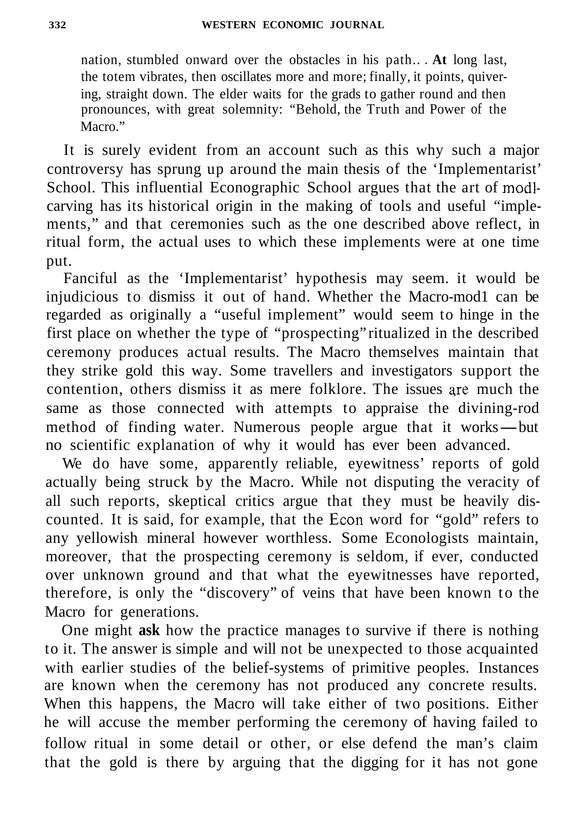nation, stumbled onward over the obstacles in his path.. . **At** long last, the totem vibrates, then oscillates more and more; finally, it points, quivering, straight down. The elder waits for the grads to gather round and then pronounces, with great solemnity: "Behold, the Truth and Power of the Macro."

It is surely evident from an account such as this why such a major controversy has sprung up around the main thesis of the 'Implementarist' School. This influential Econographic School argues that the art of modlcarving has its historical origin in the making of tools and useful "implements," and that ceremonies such as the one described above reflect, in ritual form, the actual uses to which these implements were at one time put.

Fanciful as the 'Implementarist' hypothesis may seem. it would be injudicious to dismiss it out of hand. Whether the Macro-mod1 can be regarded as originally a "useful implement" would seem to hinge in the first place on whether the type of "prospecting" ritualized in the described ceremony produces actual results. The Macro themselves maintain that they strike gold this way. Some travellers and investigators support the contention, others dismiss it as mere folklore. The issues are much the same as those connected with attempts to appraise the divining-rod contention, others dismiss it as mere folklore. The issues are much the same as those connected with attempts to appraise the divining-rod method of finding water. Numerous people argue that it works—but no exigentific and no scientific explanation of why it would has ever been advanced.

We do have some, apparently reliable, eyewitness' reports of gold actually being struck by the Macro. While not disputing the veracity of all such reports, skeptical critics argue that they must be heavily discounted. It is said, for example, that the Econ word for "gold" refers to any yellowish mineral however worthless. Some Econologists maintain, moreover, that the prospecting ceremony is seldom, if ever, conducted over unknown ground and that what the eyewitnesses have reported, therefore, is only the "discovery" of veins that have been known to the Macro for generations.

One might **ask** how the practice manages to survive if there is nothing to it. The answer is simple and will not be unexpected to those acquainted with earlier studies of the belief-systems of primitive peoples. Instances are known when the ceremony has not produced any concrete results. When this happens, the Macro will take either of two positions. Either he will accuse the member performing the ceremony of having failed to follow ritual in some detail or other, or else defend the man's claim that the gold is there by arguing that the digging for it has not gone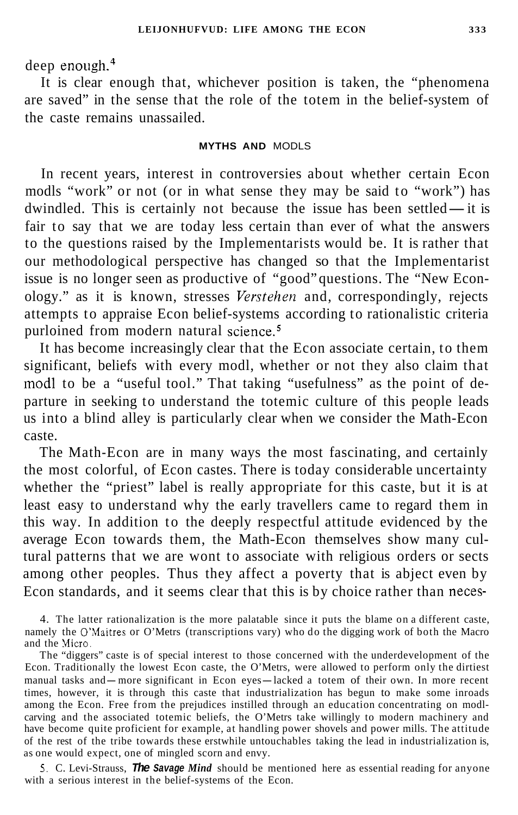deep enough. $4$ 

It is clear enough that, whichever position is taken, the "phenomena are saved" in the sense that the role of the totem in the belief-system of the caste remains unassailed.

#### **MYTHS AND** MODLS

In recent years, interest in controversies about whether certain Econ modls "work" or not (or in what sense they may be said to "work") has In recent years, interest in controversies about whether certain Econ<br>modls "work" or not (or in what sense they may be said to "work") has<br>dwindled. This is certainly not because the issue has been settled—it is<br>failed th fair to say that we are today less certain than ever of what the answers to the questions raised by the Implementarists would be. It is rather that our methodological perspective has changed so that the Implementarist issue is no longer seen as productive of "good" questions. The "New Econology." as it is known, stresses *Verstehen* and, correspondingly, rejects attempts to appraise Econ belief-systems according to rationalistic criteria purloined from modern natural science.<sup>5</sup>

It has become increasingly clear that the Econ associate certain, to them significant, beliefs with every modl, whether or not they also claim that modl to be a "useful tool." That taking "usefulness" as the point of departure in seeking to understand the totemic culture of this people leads us into a blind alley is particularly clear when we consider the Math-Econ caste.

The Math-Econ are in many ways the most fascinating, and certainly the most colorful, of Econ castes. There is today considerable uncertainty whether the "priest" label is really appropriate for this caste, but it is at least easy to understand why the early travellers came to regard them in this way. In addition to the deeply respectful attitude evidenced by the average Econ towards them, the Math-Econ themselves show many cultural patterns that we are wont to associate with religious orders or sects among other peoples. Thus they affect a poverty that is abject even by Econ standards, and it seems clear that this is by choice rather than neces-

*5.* C. Levi-Strauss, *The Savage Mind* should be mentioned here as essential reading for anyone with a serious interest in the belief-systems of the Econ.

<sup>4.</sup> The latter rationalization is the more palatable since it puts the blame on a different caste, namely the O'Maitres or O'Metrs (transcriptions vary) who do the digging work of both the Macro and the Micro.

The "diggers" caste is of special interest to those concerned with the underdevelopment of the Econ. Traditionally the lowest Econ caste, the O'Metrs, were allowed to perform only the dirtiest manual tasks and-more significant in Econ eyes-lacked a totem of their own. In more recent times, however, it is through this caste that industrialization has begun to make some inroads among the Econ. Free from the prejudices instilled through an education concentrating on modlcarving and the associated totemic beliefs, the O'Metrs take willingly to modern machinery and have become quite proficient for example, at handling power shovels and power mills. The attitude of the rest of the tribe towards these erstwhile untouchables taking the lead in industrialization is, as one would expect, one of mingled scorn and envy.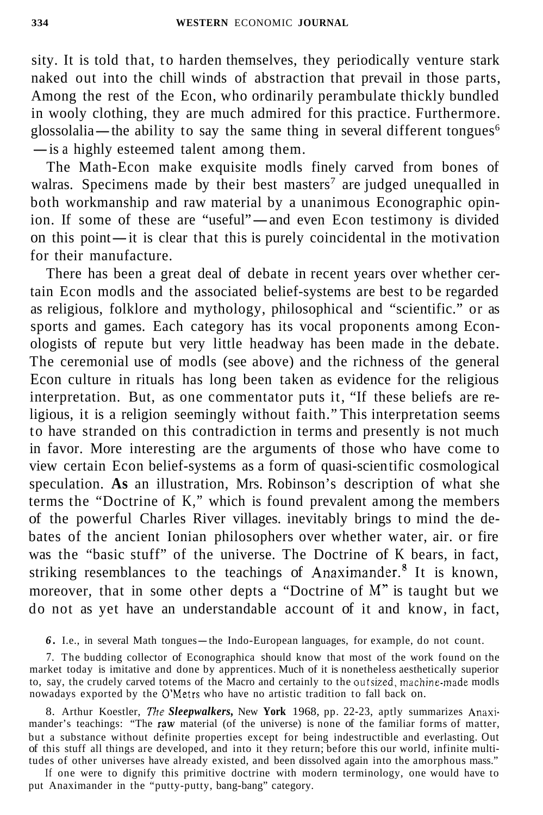sity. It is told that, to harden themselves, they periodically venture stark naked out into the chill winds of abstraction that prevail in those parts, Among the rest of the Econ, who ordinarily perambulate thickly bundled in wooly clothing, they are much admired for this practice. Furthermore. Among the rest of the Econ, who ordinarity peramourate through bundled<br>in wooly clothing, they are much admired for this practice. Furthermore,<br>glossolalia—the ability to say the same thing in several different tongues<sup>6</sup> glossolalia—the ability to say the same thing in several different tongues<sup>6</sup>—is a highly esteemed talent among them.

The Math-Econ make exquisite modls finely carved from bones of walras. Specimens made by their best masters<sup>7</sup> are judged unequalled in both workmanship and raw material by a unanimous Econographic opinion. If some of these are "useful"—and even Econ testimony is divided on this point-it is clear that this is purely coincidental in the motivation for their manufacture.

There has been a great deal of debate in recent years over whether certain Econ modls and the associated belief-systems are best to be regarded as religious, folklore and mythology, philosophical and "scientific." or as sports and games. Each category has its vocal proponents among Econologists of repute but very little headway has been made in the debate. The ceremonial use of modls (see above) and the richness of the general Econ culture in rituals has long been taken as evidence for the religious interpretation. But, as one commentator puts it, "If these beliefs are religious, it is a religion seemingly without faith." This interpretation seems to have stranded on this contradiction in terms and presently is not much in favor. More interesting are the arguments of those who have come to view certain Econ belief-systems as a form of quasi-scien tific cosmological speculation. **As** an illustration, Mrs. Robinson's description of what she terms the "Doctrine of K," which is found prevalent among the members of the powerful Charles River villages. inevitably brings to mind the debates of the ancient Ionian philosophers over whether water, air. or fire was the "basic stuff" of the universe. The Doctrine of K bears, in fact, striking resemblances to the teachings of Anaximander.<sup>8</sup> It is known, moreover, that in some other depts a "Doctrine of M" is taught but we do not as yet have an understandable account of it and know, in fact,

*6.* I.e., in several Math tongues-the Indo-European languages, for example, do not count.

7. The budding collector of Econographica should know that most of the work found on the market today is imitative and done by apprentices. Much of it is nonetheless aesthetically superior to, say, the crudely carved totems of the Macro and certainly to the outsized, machine-rnade modls nowadays exported by the O'Metrs who have no artistic tradition to fall back on.

8. Arthur Koestler, *The Sleepwalkers,* New **York** 1968, pp. 22-23, aptly summarizes Anaximander's teachings: "The raw material (of the universe) is none of the familiar forms of matter, but a substance without definite properties except for being indestructible and everlasting. Out of this stuff all things are developed, and into it they return; before this our world, infinite multitudes of other universes have already existed, and been dissolved again into the amorphous mass."

If one were to dignify this primitive doctrine with modern terminology, one would have to put Anaximander in the "putty-putty, bang-bang" category.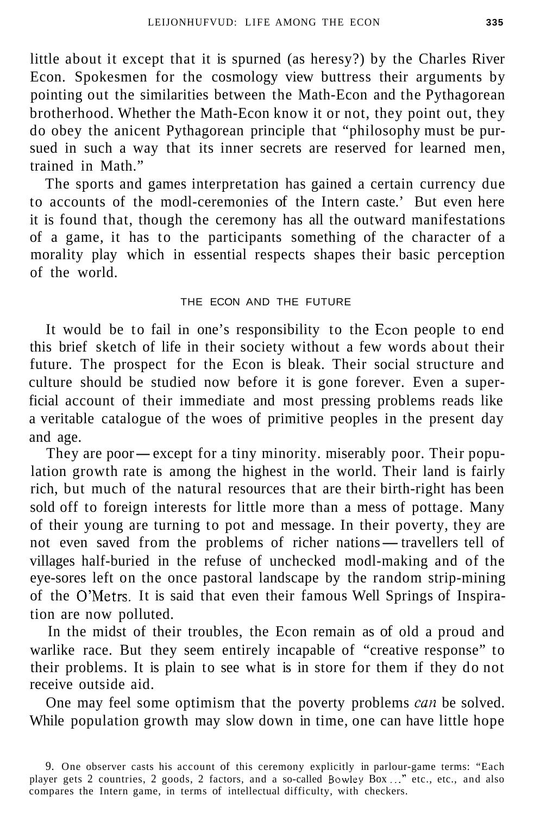little about it except that it is spurned (as heresy?) by the Charles River Econ. Spokesmen for the cosmology view buttress their arguments by pointing out the similarities between the Math-Econ and the Pythagorean brotherhood. Whether the Math-Econ know it or not, they point out, they do obey the anicent Pythagorean principle that "philosophy must be pursued in such a way that its inner secrets are reserved for learned men, trained in Math."

The sports and games interpretation has gained a certain currency due to accounts of the modl-ceremonies of the Intern caste.' But even here it is found that, though the ceremony has all the outward manifestations of a game, it has to the participants something of the character of a morality play which in essential respects shapes their basic perception of the world.

## THE ECON AND THE FUTURE

It would be to fail in one's responsibility to the Econ people to end this brief sketch of life in their society without a few words about their future. The prospect for the Econ is bleak. Their social structure and culture should be studied now before it is gone forever. Even a superficial account of their immediate and most pressing problems reads like a veritable catalogue of the woes of primitive peoples in the present day and age.

They are poor—except for a tiny minority. miserably poor. Their population growth rate is among the highest in the world. Their land is fairly rich, but much of the natural resources that are their birth-right has been sold off to foreign interests for little more than a mess of pottage. Many of their young are turning to pot and message. In their poverty, they are not even saved from the problems of richer nations - travellers tell of villages half-buried in the refuse of unchecked modl-making and of the eye-sores left on the once pastoral landscape by the random strip-mining of the O'Metrs. It is said that even their famous Well Springs of Inspiration are now polluted.

In the midst of their troubles, the Econ remain as of old a proud and warlike race. But they seem entirely incapable of "creative response" to their problems. It is plain to see what is in store for them if they do not receive outside aid.

One may feel some optimism that the poverty problems *can* be solved. While population growth may slow down in time, one can have little hope

<sup>9.</sup> One observer casts his account of this ceremony explicitly in parlour-game terms: "Each player gets 2 countries, 2 goods, 2 factors, and a so-called Bowley Box ..." etc., etc., and also compares the Intern game, in terms of intellectual difficulty, with checkers.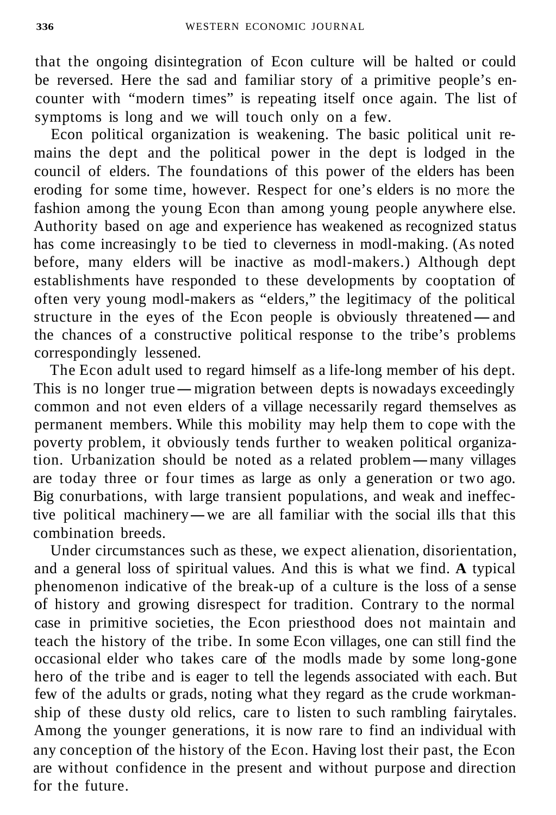that the ongoing disintegration of Econ culture will be halted or could be reversed. Here the sad and familiar story of a primitive people's encounter with "modern times" is repeating itself once again. The list of symptoms is long and we will touch only on a few.

Econ political organization is weakening. The basic political unit remains the dept and the political power in the dept is lodged in the council of elders. The foundations of this power of the elders has been eroding for some time, however. Respect for one's elders is no more the fashion among the young Econ than among young people anywhere else. Authority based on age and experience has weakened as recognized status has come increasingly to be tied to cleverness in modl-making. (As noted before, many elders will be inactive as modl-makers.) Although dept establishments have responded to these developments by cooptation of often very young modl-makers as "elders," the legitimacy of the political establishments have responded to these developments by cooptation of<br>often very young modl-makers as "elders," the legitimacy of the political<br>structure in the eyes of the Econ people is obviously threatened—and<br>the change the chances of a constructive political response to the tribe's problems correspondingly lessened.

The Econ adult used to regard himself as a life-long member of his dept. This is no longer true—migration between depts is nowadays exceedingly common and not even elders of a village necessarily regard themselves as permanent members. While this mobility may help them to cope with the poverty problem, it obviously tends further to weaken political organizapermanent members. While this mobility may help them to cope with the<br>poverty problem, it obviously tends further to weaken political organiza-<br>tion. Urbanization should be noted as a related problem—many villages are today three or four times as large as only a generation or two ago. Big conurbations, with large transient populations, and weak and ineffecare today three or four times as large as only a generation or two ago.<br>Big conurbations, with large transient populations, and weak and ineffec-<br>tive political machinery—we are all familiar with the social ills that this combination breeds.

Under circumstances such as these, we expect alienation, disorientation, and a general loss of spiritual values. And this is what we find. **A** typical phenomenon indicative of the break-up of a culture is the loss of a sense of history and growing disrespect for tradition. Contrary to the normal case in primitive societies, the Econ priesthood does not maintain and teach the history of the tribe. In some Econ villages, one can still find the occasional elder who takes care of the modls made by some long-gone hero of the tribe and is eager to tell the legends associated with each. But few of the adults or grads, noting what they regard as the crude workmanship of these dusty old relics, care to listen to such rambling fairytales. Among the younger generations, it is now rare to find an individual with any conception of the history of the Econ. Having lost their past, the Econ are without confidence in the present and without purpose and direction for the future.